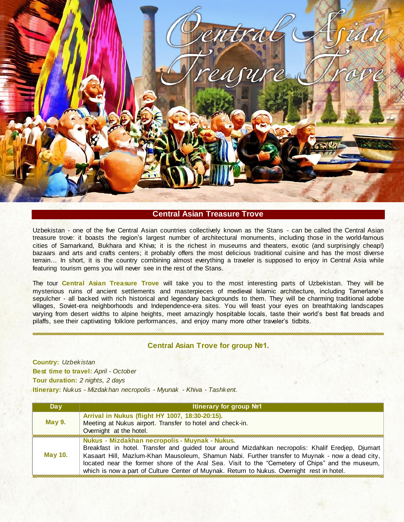

### **Central Asian Treasure Trove**

Uzbekistan - one of the five Central Asian countries collectively known as the Stans - can be called the Central Asian treasure trove: it boasts the region"s largest number of architectural monuments, including those in the world-famous cities of Samarkand, Bukhara and Khiva; it is the richest in museums and theaters, exotic (and surprisingly cheap!) bazaars and arts and crafts centers; it probably offers the most delicious traditional cuisine and has the most diverse terrain… In short, it is the country combining almost everything a traveler is supposed to enjoy in Central Asia while featuring tourism gems you will never see in the rest of the Stans.

The tour **Central Asian Treasure Trove** will take you to the most interesting parts of Uzbekistan. They will be mysterious ruins of ancient settlements and masterpieces of medieval Islamic architecture, including Tamerlane"s sepulcher - all backed with rich historical and legendary backgrounds to them. They will be charming traditional adobe villages, Soviet-era neighborhoods and Independence-era sites. You will feast your eyes on breathtaking landscapes varying from desert widths to alpine heights, meet amazingly hospitable locals, taste their world"s best flat breads and pilaffs, see their captivating folklore performances, and enjoy many more other traveler"s tidbits.

## **Central Asian Trove for group №1.**

**Country:** *Uzbekistan* **Best time to travel:** *April - October* **Tour duration:** *2 nights, 2 days* **Itinerary:** *Nukus - Mizdakhan necropolis - Myunak - Khiva - Tashkent.*

| Day            | <b>Itinerary for group Nº1</b>                                                                                                                                                                                                                                                                                                                                                                                                                          |
|----------------|---------------------------------------------------------------------------------------------------------------------------------------------------------------------------------------------------------------------------------------------------------------------------------------------------------------------------------------------------------------------------------------------------------------------------------------------------------|
| <b>May 9.</b>  | Arrival in Nukus (flight HY 1007, 18:30-20:15).<br>Meeting at Nukus airport. Transfer to hotel and check-in.<br>Overnight at the hotel.                                                                                                                                                                                                                                                                                                                 |
| <b>May 10.</b> | Nukus - Mizdakhan necropolis - Muynak - Nukus.<br>Breakfast in hotel. Transfer and guided tour around Mizdahkan necropolis: Khalif Eredjep, Djumart<br>Kasaart Hill, Mazlum-Khan Mausoleum, Shamun Nabi. Further transfer to Muynak - now a dead city,<br>located near the former shore of the Aral Sea. Visit to the "Cemetery of Chips" and the museum,<br>which is now a part of Culture Center of Muynak. Return to Nukus. Overnight rest in hotel. |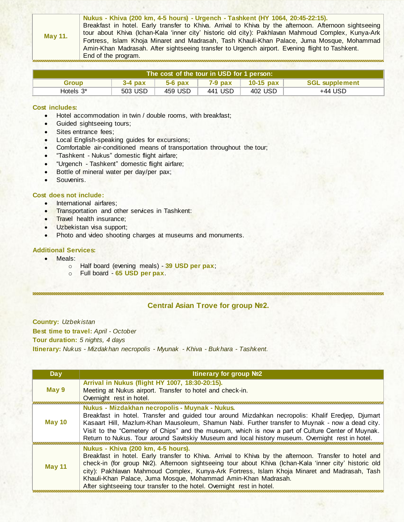| Nukus - Khiva (200 km, 4-5 hours) - Urgench - Tashkent (HY 1064, 20:45-22:15).                                       |  |
|----------------------------------------------------------------------------------------------------------------------|--|
| Breakfast in hotel. Early transfer to Khiva. Arrival to Khiva by the afternoon. Afternoon sightseeing                |  |
| tour about Khiva (Ichan-Kala 'inner city' historic old city): Pakhlavan Mahmoud Complex, Kunya-Ark<br><b>May 11.</b> |  |
| Fortress, Islam Khoja Minaret and Madrasah, Tash Khauli-Khan Palace, Juma Mosque, Mohammad                           |  |
| Amin-Khan Madrasah. After sightseeing transfer to Urgench airport. Evening flight to Tashkent.                       |  |
| End of the program.                                                                                                  |  |

| The cost of the tour in USD for 1 person: |           |           |           |             |                       |
|-------------------------------------------|-----------|-----------|-----------|-------------|-----------------------|
| <b>Group</b>                              | $3-4$ pax | $5-6$ pax | $7-9$ pax | $10-15$ pax | <b>SGL supplement</b> |
| Hotels $3^*$                              | 503 USD   | 459 USD   | 441 USD   | 402 USD     | +44 USD               |

#### **Cost includes:**

- Hotel accommodation in twin / double rooms, with breakfast;
- Guided sightseeing tours;
- Sites entrance fees;
- Local English-speaking guides for excursions;
- Comfortable air-conditioned means of transportation throughout the tour;
- "Tashkent Nukus" domestic flight airfare;
- "Urgench Tashkent" domestic flight airfare;
- Bottle of mineral water per day/per pax;
- Souvenirs.

#### **Cost does not include:**

- International airfares;
- **Transportation and other services in Tashkent:**
- Travel health insurance;
- Uzbekistan visa support;
- Photo and video shooting charges at museums and monuments.

#### **Additional Services:**

- Meals:
	- o Half board (evening meals) **39 USD per pax**;
	- o Full board **65 USD per pax**.

,,,,,,,,,,,,,,,,,,,,,,,,,,,,,,,,,

### **Central Asian Trove for group №2.**

**Country:** *Uzbekistan* **Best time to travel:** *April - October* **Tour duration:** *5 nights, 4 days* **Itinerary:** *Nukus - Mizdakhan necropolis - Myunak - Khiva - Bukhara - Tashkent.*

| <b>Day</b>    | Itinerary for group №2                                                                                                                                                                                                                                                                                                                                                                                                                                                                           |
|---------------|--------------------------------------------------------------------------------------------------------------------------------------------------------------------------------------------------------------------------------------------------------------------------------------------------------------------------------------------------------------------------------------------------------------------------------------------------------------------------------------------------|
| May 9         | Arrival in Nukus (flight HY 1007, 18:30-20:15).<br>Meeting at Nukus airport. Transfer to hotel and check-in.<br>Overnight rest in hotel.                                                                                                                                                                                                                                                                                                                                                         |
| <b>May 10</b> | Nukus - Mizdakhan necropolis - Muynak - Nukus.<br>Breakfast in hotel. Transfer and guided tour around Mizdahkan necropolis: Khalif Eredjep, Djumart<br>Kasaart Hill, Mazlum-Khan Mausoleum, Shamun Nabi. Further transfer to Muynak - now a dead city.<br>Visit to the "Cemetery of Chips" and the museum, which is now a part of Culture Center of Muynak.<br>Return to Nukus. Tour around Savitskiy Museum and local history museum. Overnight rest in hotel.                                  |
| <b>May 11</b> | Nukus - Khiva (200 km, 4-5 hours).<br>Breakfast in hotel. Early transfer to Khiva. Arrival to Khiva by the afternoon. Transfer to hotel and<br>check-in (for group Nº2). Afternoon sightseeing tour about Khiva (Ichan-Kala 'inner city' historic old<br>city): Pakhlavan Mahmoud Complex, Kunya-Ark Fortress, Islam Khoja Minaret and Madrasah, Tash<br>Khauli-Khan Palace, Juma Mosque, Mohammad Amin-Khan Madrasah.<br>After sightseeing tour transfer to the hotel. Overnight rest in hotel. |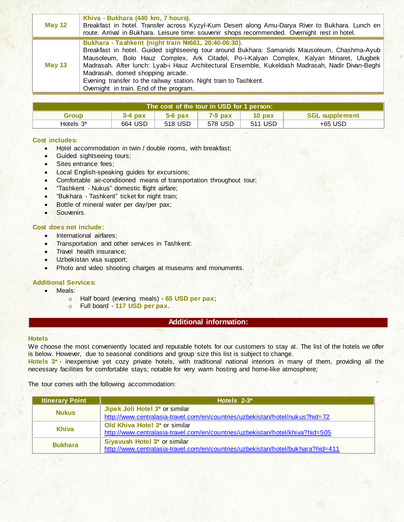| <b>May 12</b> | Khiva - Bukhara (440 km, 7 hours).<br>Breakfast in hotel. Transfer across Kyzyl-Kum Desert along Amu-Darya River to Bukhara. Lunch en<br>route. Arrival in Bukhara. Leisure time: souvenir shops recommended. Overnight rest in hotel.                                                                                                                                                                                                                                                                  |
|---------------|---------------------------------------------------------------------------------------------------------------------------------------------------------------------------------------------------------------------------------------------------------------------------------------------------------------------------------------------------------------------------------------------------------------------------------------------------------------------------------------------------------|
| <b>May 13</b> | Bukhara - Tashkent (night train Nº661, 20:40-06:30).<br>Breakfast in hotel. Guided sightseeing tour around Bukhara: Samanids Mausoleum, Chashma-Ayub<br>Mausoleum, Bolo Hauz Complex, Ark Citadel, Po-i-Kalyan Complex, Kalyan Minaret, Ulugbek<br>Madrasah. After lunch: Lyab-i Hauz Architectural Ensemble, Kukeldash Madrasah, Nadir Divan-Beghi<br>Madrasah, domed shopping arcade.<br>Evening transfer to the railway station. Night train to Tashkent.<br>Overnight in train. End of the program. |

| The cost of the tour in USD for 1 person: 1 |           |           |           |                   |                       |
|---------------------------------------------|-----------|-----------|-----------|-------------------|-----------------------|
| Group                                       | $3-4$ pax | $5-6$ pax | $7-9$ pax | 10 <sub>max</sub> | <b>SGL supplement</b> |
| Hotels 3 <sup>*</sup>                       | 664 USD   | 518 USD   | 578 USD   | 511 USD           | $+65$ USD             |

#### **Cost includes:**

- Hotel accommodation in twin / double rooms, with breakfast;
- Guided sightseeing tours;
- Sites entrance fees;
- Local English-speaking guides for excursions;
- Comfortable air-conditioned means of transportation throughout tour;
- "Tashkent Nukus" domestic flight airfare;
- "Bukhara Tashkent" ticket for night train;
- Bottle of mineral water per day/per pax;
- Souvenirs.

#### **Cost does not include:**

- International airfares:
- Transportation and other services in Tashkent:
- Travel health insurance:
- Uzbekistan visa support;
- Photo and video shooting charges at museums and monuments.

#### **Additional Services:**

- Meals:
	- o Half board (evening meals) **65 USD per pax**;
	- o Full board **117 USD per pax.**

#### **Additional information:**

#### **Hotels**

We choose the most conveniently located and reputable hotels for our customers to stay at. The list of the hotels we offer is below. However, due to seasonal conditions and group size this list is subject to change.

**Hotels 3\*** - inexpensive yet cozy private hotels, with traditional national interiors in many of them, providing all the necessary facilities for comfortable stays; notable for very warm hosting and home-like atmosphere;

The tour comes with the following accommodation:

| <b>Itinerary Point</b> | Hotels $2-3$ <sup>*</sup>                                                       |
|------------------------|---------------------------------------------------------------------------------|
| <b>Nukus</b>           | Jipek Joli Hotel 3* or similar                                                  |
|                        | http://www.centralasia-travel.com/en/countries/uzbekistan/hotel/nukus?hid=72    |
| Khiva                  | Old Khiva Hotel 3 <sup>*</sup> or similar                                       |
|                        | http://www.centralasia-travel.com/en/countries/uzbekistan/hotel/khiva?hid=505   |
| <b>Bukhara</b>         | Siyavush Hotel 3* or similar                                                    |
|                        | http://www.centralasia-travel.com/en/countries/uzbekistan/hotel/bukhara?hid=411 |